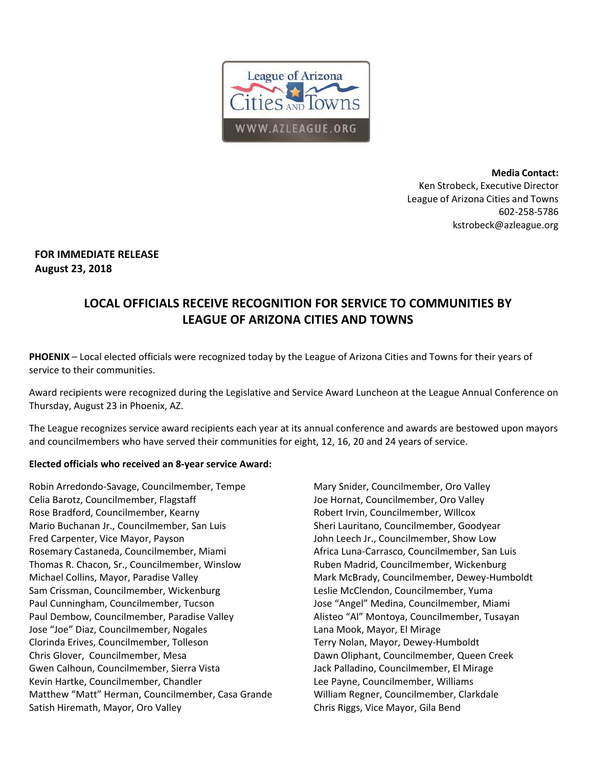

**Media Contact:**  Ken Strobeck, Executive Director League of Arizona Cities and Towns 602‐258‐5786 kstrobeck@azleague.org

## **FOR IMMEDIATE RELEASE August 23, 2018**

# **LOCAL OFFICIALS RECEIVE RECOGNITION FOR SERVICE TO COMMUNITIES BY LEAGUE OF ARIZONA CITIES AND TOWNS**

**PHOENIX** – Local elected officials were recognized today by the League of Arizona Cities and Towns for their years of service to their communities.

Award recipients were recognized during the Legislative and Service Award Luncheon at the League Annual Conference on Thursday, August 23 in Phoenix, AZ.

The League recognizes service award recipients each year at its annual conference and awards are bestowed upon mayors and councilmembers who have served their communities for eight, 12, 16, 20 and 24 years of service.

### **Elected officials who received an 8‐year service Award:**

Robin Arredondo‐Savage, Councilmember, Tempe Celia Barotz, Councilmember, Flagstaff Rose Bradford, Councilmember, Kearny Mario Buchanan Jr., Councilmember, San Luis Fred Carpenter, Vice Mayor, Payson Rosemary Castaneda, Councilmember, Miami Thomas R. Chacon, Sr., Councilmember, Winslow Michael Collins, Mayor, Paradise Valley Sam Crissman, Councilmember, Wickenburg Paul Cunningham, Councilmember, Tucson Paul Dembow, Councilmember, Paradise Valley Jose "Joe" Diaz, Councilmember, Nogales Clorinda Erives, Councilmember, Tolleson Chris Glover, Councilmember, Mesa Gwen Calhoun, Councilmember, Sierra Vista Kevin Hartke, Councilmember, Chandler Matthew "Matt" Herman, Councilmember, Casa Grande Satish Hiremath, Mayor, Oro Valley

Mary Snider, Councilmember, Oro Valley Joe Hornat, Councilmember, Oro Valley Robert Irvin, Councilmember, Willcox Sheri Lauritano, Councilmember, Goodyear John Leech Jr., Councilmember, Show Low Africa Luna‐Carrasco, Councilmember, San Luis Ruben Madrid, Councilmember, Wickenburg Mark McBrady, Councilmember, Dewey‐Humboldt Leslie McClendon, Councilmember, Yuma Jose "Angel" Medina, Councilmember, Miami Alisteo "Al" Montoya, Councilmember, Tusayan Lana Mook, Mayor, El Mirage Terry Nolan, Mayor, Dewey‐Humboldt Dawn Oliphant, Councilmember, Queen Creek Jack Palladino, Councilmember, El Mirage Lee Payne, Councilmember, Williams William Regner, Councilmember, Clarkdale Chris Riggs, Vice Mayor, Gila Bend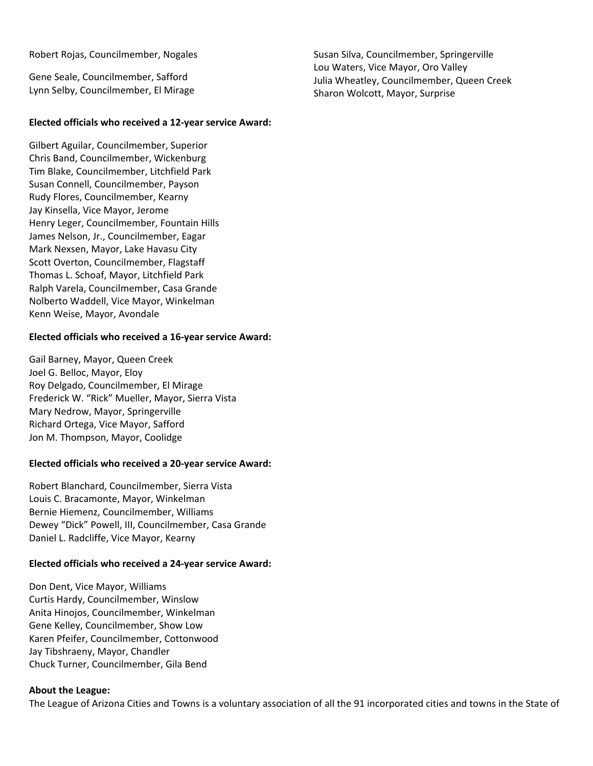Robert Rojas, Councilmember, Nogales

Gene Seale, Councilmember, Safford Lynn Selby, Councilmember, El Mirage

#### **Elected officials who received a 12‐year service Award:**

Gilbert Aguilar, Councilmember, Superior Chris Band, Councilmember, Wickenburg Tim Blake, Councilmember, Litchfield Park Susan Connell, Councilmember, Payson Rudy Flores, Councilmember, Kearny Jay Kinsella, Vice Mayor, Jerome Henry Leger, Councilmember, Fountain Hills James Nelson, Jr., Councilmember, Eagar Mark Nexsen, Mayor, Lake Havasu City Scott Overton, Councilmember, Flagstaff Thomas L. Schoaf, Mayor, Litchfield Park Ralph Varela, Councilmember, Casa Grande Nolberto Waddell, Vice Mayor, Winkelman Kenn Weise, Mayor, Avondale

#### **Elected officials who received a 16‐year service Award:**

Gail Barney, Mayor, Queen Creek Joel G. Belloc, Mayor, Eloy Roy Delgado, Councilmember, El Mirage Frederick W. "Rick" Mueller, Mayor, Sierra Vista Mary Nedrow, Mayor, Springerville Richard Ortega, Vice Mayor, Safford Jon M. Thompson, Mayor, Coolidge

#### **Elected officials who received a 20‐year service Award:**

Robert Blanchard, Councilmember, Sierra Vista Louis C. Bracamonte, Mayor, Winkelman Bernie Hiemenz, Councilmember, Williams Dewey "Dick" Powell, III, Councilmember, Casa Grande Daniel L. Radcliffe, Vice Mayor, Kearny

#### **Elected officials who received a 24‐year service Award:**

Don Dent, Vice Mayor, Williams Curtis Hardy, Councilmember, Winslow Anita Hinojos, Councilmember, Winkelman Gene Kelley, Councilmember, Show Low Karen Pfeifer, Councilmember, Cottonwood Jay Tibshraeny, Mayor, Chandler Chuck Turner, Councilmember, Gila Bend

#### **About the League:**

The League of Arizona Cities and Towns is a voluntary association of all the 91 incorporated cities and towns in the State of

Susan Silva, Councilmember, Springerville Lou Waters, Vice Mayor, Oro Valley Julia Wheatley, Councilmember, Queen Creek Sharon Wolcott, Mayor, Surprise